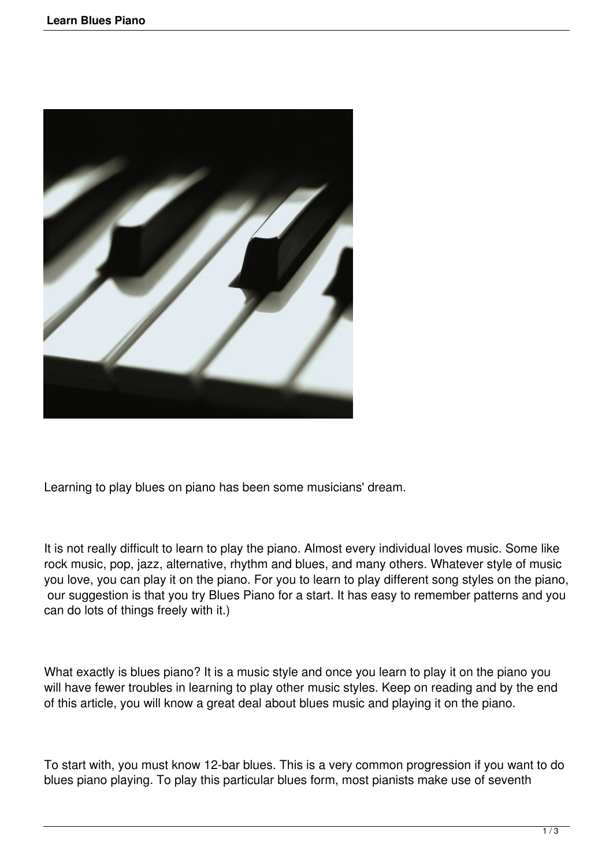

Learning to play blues on piano has been some musicians' dream.

It is not really difficult to learn to play the piano. Almost every individual loves music. Some like rock music, pop, jazz, alternative, rhythm and blues, and many others. Whatever style of music you love, you can play it on the piano. For you to learn to play different song styles on the piano, our suggestion is that you try Blues Piano for a start. It has easy to remember patterns and you can do lots of things freely with it.)

What exactly is blues piano? It is a music style and once you learn to play it on the piano you will have fewer troubles in learning to play other music styles. Keep on reading and by the end of this article, you will know a great deal about blues music and playing it on the piano.

To start with, you must know 12-bar blues. This is a very common progression if you want to do blues piano playing. To play this particular blues form, most pianists make use of seventh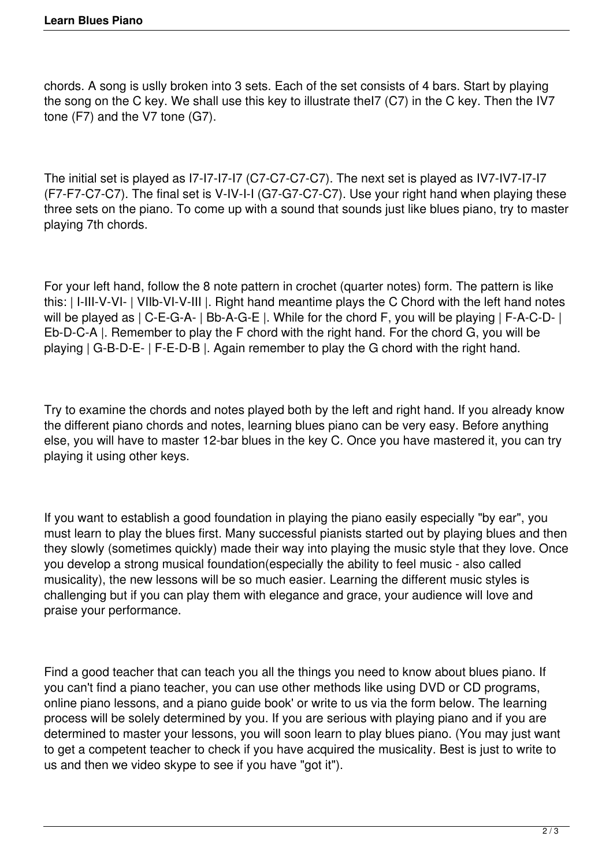chords. A song is uslly broken into 3 sets. Each of the set consists of 4 bars. Start by playing the song on the C key. We shall use this key to illustrate theI7 (C7) in the C key. Then the IV7 tone (F7) and the V7 tone (G7).

The initial set is played as I7-I7-I7-I7 (C7-C7-C7-C7). The next set is played as IV7-IV7-I7-I7 (F7-F7-C7-C7). The final set is V-IV-I-I (G7-G7-C7-C7). Use your right hand when playing these three sets on the piano. To come up with a sound that sounds just like blues piano, try to master playing 7th chords.

For your left hand, follow the 8 note pattern in crochet (quarter notes) form. The pattern is like this: | I-III-V-VI- | VIIb-VI-V-III |. Right hand meantime plays the C Chord with the left hand notes will be played as | C-E-G-A- | Bb-A-G-E |. While for the chord F, you will be playing | F-A-C-D- | Eb-D-C-A |. Remember to play the F chord with the right hand. For the chord G, you will be playing | G-B-D-E- | F-E-D-B |. Again remember to play the G chord with the right hand.

Try to examine the chords and notes played both by the left and right hand. If you already know the different piano chords and notes, learning blues piano can be very easy. Before anything else, you will have to master 12-bar blues in the key C. Once you have mastered it, you can try playing it using other keys.

If you want to establish a good foundation in playing the piano easily especially "by ear", you must learn to play the blues first. Many successful pianists started out by playing blues and then they slowly (sometimes quickly) made their way into playing the music style that they love. Once you develop a strong musical foundation(especially the ability to feel music - also called musicality), the new lessons will be so much easier. Learning the different music styles is challenging but if you can play them with elegance and grace, your audience will love and praise your performance.

Find a good teacher that can teach you all the things you need to know about blues piano. If you can't find a piano teacher, you can use other methods like using DVD or CD programs, online piano lessons, and a piano guide book' or write to us via the form below. The learning process will be solely determined by you. If you are serious with playing piano and if you are determined to master your lessons, you will soon learn to play blues piano. (You may just want to get a competent teacher to check if you have acquired the musicality. Best is just to write to us and then we video skype to see if you have "got it").